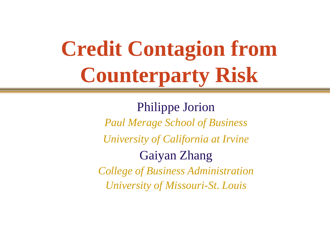# **Credit Contagion from Counterparty Risk**

Philippe Jorion *Paul Merage School of Business University of California at Irvine* Gaiyan Zhang *College of Business Administration University of Missouri-St. Louis*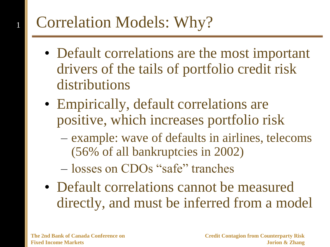# Correlation Models: Why?

- Default correlations are the most important drivers of the tails of portfolio credit risk distributions
- Empirically, default correlations are positive, which increases portfolio risk
	- example: wave of defaults in airlines, telecoms (56% of all bankruptcies in 2002)
	- losses on CDOs "safe" tranches
- Default correlations cannot be measured directly, and must be inferred from a model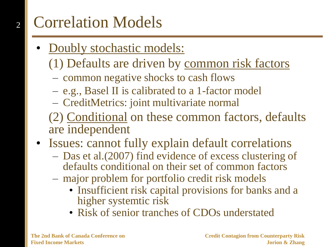## Correlation Models

- Doubly stochastic models:
	- (1) Defaults are driven by common risk factors
	- common negative shocks to cash flows
	- e.g., Basel II is calibrated to a 1-factor model
	- CreditMetrics: joint multivariate normal
	- (2) Conditional on these common factors, defaults are independent
- Issues: cannot fully explain default correlations
	- Das et al.(2007) find evidence of excess clustering of defaults conditional on their set of common factors
	- major problem for portfolio credit risk models
		- Insufficient risk capital provisions for banks and a higher systemtic risk
		- Risk of senior tranches of CDOs understated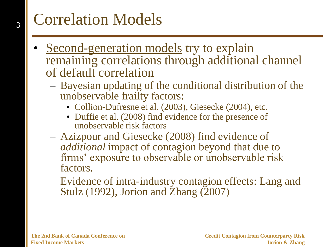# Correlation Models

- Second-generation models try to explain remaining correlations through additional channel of default correlation
	- Bayesian updating of the conditional distribution of the unobservable frailty factors:
		- Collion-Dufresne et al. (2003), Giesecke (2004), etc.
		- Duffie et al. (2008) find evidence for the presence of unobservable risk factors
	- Azizpour and Giesecke (2008) find evidence of *additional* impact of contagion beyond that due to firms' exposure to observable or unobservable risk factors.
	- Evidence of intra-industry contagion effects: Lang and Stulz (1992), Jorion and Zhang (2007)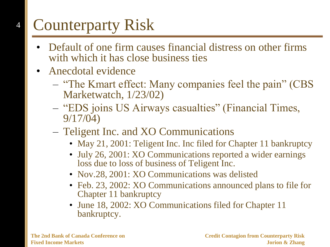# Counterparty Risk

- Default of one firm causes financial distress on other firms with which it has close business ties
- Anecdotal evidence
	- "The Kmart effect: Many companies feel the pain" (CBS Marketwatch, 1/23/02)
	- "EDS joins US Airways casualties" (Financial Times, 9/17/04)
	- Teligent Inc. and XO Communications
		- May 21, 2001: Teligent Inc. Inc filed for Chapter 11 bankruptcy
		- July 26, 2001: XO Communications reported a wider earnings loss due to loss of business of Teligent Inc.
		- Nov.28, 2001: XO Communications was delisted
		- Feb. 23, 2002: XO Communications announced plans to file for Chapter 11 bankruptcy
		- June 18, 2002: XO Communications filed for Chapter 11 bankruptcy.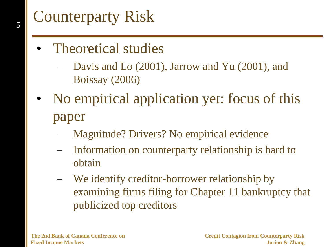# Counterparty Risk

- Theoretical studies
	- Davis and Lo (2001), Jarrow and Yu (2001), and Boissay (2006)
- No empirical application yet: focus of this paper
	- Magnitude? Drivers? No empirical evidence
	- Information on counterparty relationship is hard to obtain
	- We identify creditor-borrower relationship by examining firms filing for Chapter 11 bankruptcy that publicized top creditors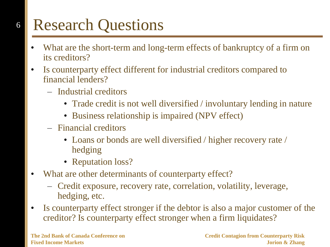# Research Questions

- What are the short-term and long-term effects of bankruptcy of a firm on its creditors?
- Is counterparty effect different for industrial creditors compared to financial lenders?
	- Industrial creditors
		- Trade credit is not well diversified / involuntary lending in nature
		- Business relationship is impaired (NPV effect)
	- Financial creditors
		- Loans or bonds are well diversified / higher recovery rate / hedging
		- Reputation loss?
- What are other determinants of counterparty effect?
	- Credit exposure, recovery rate, correlation, volatility, leverage, hedging, etc.
- Is counterparty effect stronger if the debtor is also a major customer of the creditor? Is counterparty effect stronger when a firm liquidates?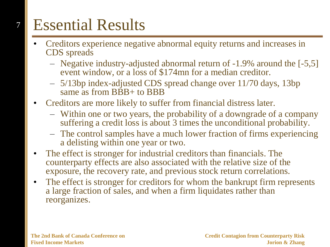# Essential Results

- Creditors experience negative abnormal equity returns and increases in CDS spreads
	- Negative industry-adjusted abnormal return of -1.9% around the [-5,5] event window, or a loss of \$174mn for a median creditor.
	- 5/13bp index-adjusted CDS spread change over 11/70 days, 13bp same as from BBB+ to BBB
- Creditors are more likely to suffer from financial distress later.
	- Within one or two years, the probability of a downgrade of a company suffering a credit loss is about 3 times the unconditional probability.
	- The control samples have a much lower fraction of firms experiencing a delisting within one year or two.
- The effect is stronger for industrial creditors than financials. The counterparty effects are also associated with the relative size of the exposure, the recovery rate, and previous stock return correlations.
- The effect is stronger for creditors for whom the bankrupt firm represents a large fraction of sales, and when a firm liquidates rather than reorganizes.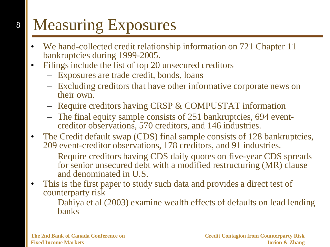# Measuring Exposures

- We hand-collected credit relationship information on 721 Chapter 11 bankruptcies during 1999-2005.
- Filings include the list of top 20 unsecured creditors
	- Exposures are trade credit, bonds, loans
	- Excluding creditors that have other informative corporate news on their own.
	- Require creditors having CRSP & COMPUSTAT information
	- The final equity sample consists of 251 bankruptcies, 694 eventcreditor observations, 570 creditors, and 146 industries.
- The Credit default swap (CDS) final sample consists of 128 bankruptcies, 209 event-creditor observations, 178 creditors, and 91 industries.
	- Require creditors having CDS daily quotes on five-year CDS spreads for senior unsecured debt with a modified restructuring (MR) clause and denominated in U.S.
- This is the first paper to study such data and provides a direct test of counterparty risk
	- Dahiya et al (2003) examine wealth effects of defaults on lead lending banks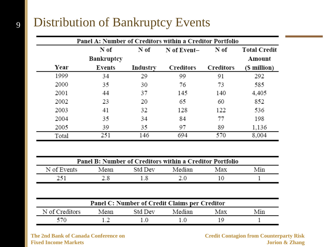### Distribution of Bankruptcy Events

9

|       | Panel A: Number of Creditors within a Creditor Portfolio   |          |           |           |              |  |  |  |  |
|-------|------------------------------------------------------------|----------|-----------|-----------|--------------|--|--|--|--|
|       | N of<br><b>Total Credit</b><br>N of<br>N of<br>N of Event- |          |           |           |              |  |  |  |  |
|       | Bankruptcy                                                 |          |           |           | Amount       |  |  |  |  |
| Year  | Events                                                     | Industry | Creditors | Creditors | (\$ million) |  |  |  |  |
| 1999  | 34                                                         | 29       | 99        | 91        | 292          |  |  |  |  |
| 2000  | 35                                                         | 30       | 76        | 73        | 585          |  |  |  |  |
| 2001  | 44                                                         | 37       | 145       | 140       | 4,405        |  |  |  |  |
| 2002  | 23                                                         | 20       | 65        | 60        | 852          |  |  |  |  |
| 2003  | 41                                                         | 32       | 128       | 122       | 536          |  |  |  |  |
| 2004  | 35                                                         | 34       | 84        | 77        | 198          |  |  |  |  |
| 2005  | 39                                                         | 35       | 97        | 89        | 1,136        |  |  |  |  |
| Total | 251                                                        | 146      | 694       | 570       | 8,004        |  |  |  |  |

| Panel B: Number of Creditors within a Creditor Portfolio |      |         |        |     |     |  |  |
|----------------------------------------------------------|------|---------|--------|-----|-----|--|--|
| N of Events                                              | Mean | Std Dev | Median | Max | Min |  |  |
| 251                                                      |      |         |        |     |     |  |  |

| Panel C: Number of Credit Claims per Creditor |      |         |        |     |     |  |  |
|-----------------------------------------------|------|---------|--------|-----|-----|--|--|
| N of Creditors                                | Mean | Std Dev | Median | Max | Min |  |  |
|                                               |      |         |        |     |     |  |  |

**The 2nd Bank of Canada Conference on Fixed Income Markets**

**Credit Contagion from Counterparty Risk Jorion & Zhang**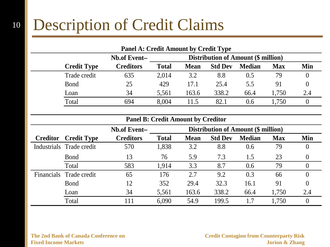### 10 Description of Credit Claims

|              | <b>Panel A: Credit Amount by Credit Type</b>                                                                           |       |       |       |      |       |     |  |  |
|--------------|------------------------------------------------------------------------------------------------------------------------|-------|-------|-------|------|-------|-----|--|--|
|              | <b>Distribution of Amount (\$ million)</b><br>Nb.of Event-                                                             |       |       |       |      |       |     |  |  |
|              | <b>Creditors</b><br><b>Total</b><br><b>Mean</b><br><b>Median</b><br><b>Credit Type</b><br><b>Std Dev</b><br><b>Max</b> |       |       |       |      |       |     |  |  |
| Trade credit | 635                                                                                                                    | 2,014 | 3.2   | 8.8   | 0.5  | 79    |     |  |  |
| <b>B</b> ond | 25                                                                                                                     | 429   | 17.1  | 25.4  | 5.5  | 91    |     |  |  |
| Loan         | 34                                                                                                                     | 5,561 | 163.6 | 338.2 | 66.4 | 1,750 | 2.4 |  |  |
| Total        | 694                                                                                                                    | 8.004 | 11.5  | 82.1  | 0.6  | .750  |     |  |  |
|              |                                                                                                                        |       |       |       |      |       |     |  |  |

| <b>Panel B: Credit Amount by Creditor</b> |                          |                                                            |              |             |                |               |            |          |  |
|-------------------------------------------|--------------------------|------------------------------------------------------------|--------------|-------------|----------------|---------------|------------|----------|--|
|                                           |                          | <b>Distribution of Amount (\$ million)</b><br>Nb.of Event- |              |             |                |               |            |          |  |
| <b>Creditor</b>                           | <b>Credit Type</b>       | <b>Creditors</b>                                           | <b>Total</b> | <b>Mean</b> | <b>Std Dev</b> | <b>Median</b> | <b>Max</b> | Min      |  |
|                                           | Industrials Trade credit | 570                                                        | 1,838        | 3.2         | 8.8            | 0.6           | 79         | $\theta$ |  |
|                                           | <b>B</b> ond             | 13                                                         | 76           | 5.9         | 7.3            | 1.5           | 23         |          |  |
|                                           | Total                    | 583                                                        | 1,914        | 3.3         | 8.7            | 0.6           | 79         | $\theta$ |  |
|                                           | Financials Trade credit  | 65                                                         | 176          | 2.7         | 9.2            | 0.3           | 66         | 0        |  |
|                                           | <b>B</b> ond             | 12                                                         | 352          | 29.4        | 32.3           | 16.1          | 91         |          |  |
|                                           | Loan                     | 34                                                         | 5,561        | 163.6       | 338.2          | 66.4          | 1,750      | 2.4      |  |
|                                           | Total                    | 111                                                        | 6,090        | 54.9        | 199.5          | 1.7           | 1,750      | $\theta$ |  |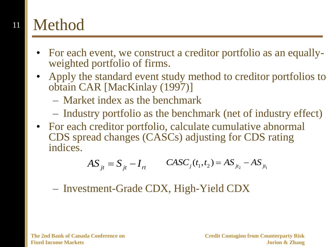### 11 Method

- For each event, we construct a creditor portfolio as an equallyweighted portfolio of firms.
- Apply the standard event study method to creditor portfolios to obtain CAR [MacKinlay (1997)]
	- Market index as the benchmark
	- Industry portfolio as the benchmark (net of industry effect)
- For each creditor portfolio, calculate cumulative abnormal CDS spread changes (CASCs) adjusting for CDS rating indices.

$$
AS_{jt} = S_{jt} - I_{rt} \qquad CASC_j(t_1, t_2) = AS_{jt_2} - AS_{jt_1}
$$

– Investment-Grade CDX, High-Yield CDX

**The 2nd Bank of Canada Conference on Fixed Income Markets**

**Credit Contagion from Counterparty Risk Jorion & Zhang**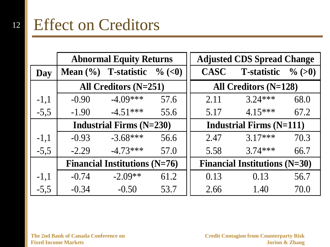#### 12 Effect on Creditors

|        | <b>Abnormal Equity Returns</b>               |                                    |      |                                 | <b>Adjusted CDS Spread Change</b>    |           |  |
|--------|----------------------------------------------|------------------------------------|------|---------------------------------|--------------------------------------|-----------|--|
| Day    |                                              | Mean $(\% )$ T-statistic $\%$ (<0) |      | <b>CASC</b>                     | <b>T-statistic</b>                   | $\%$ (>0) |  |
|        | All Creditors $(N=251)$                      |                                    |      | All Creditors $(N=128)$         |                                      |           |  |
| $-1,1$ | $-0.90$                                      | $-4.09***$                         | 57.6 | 2.11                            | $3.24***$                            | 68.0      |  |
| $-5,5$ | $-1.90$                                      | $-4.51***$                         | 55.6 | 5.17                            | $4.15***$                            | 67.2      |  |
|        | <b>Industrial Firms <math>(N=230)</math></b> |                                    |      | <b>Industrial Firms (N=111)</b> |                                      |           |  |
| $-1,1$ | $-0.93$                                      | $-3.68***$                         | 56.6 | 2.47                            | $3.17***$                            | 70.3      |  |
| $-5,5$ | $-2.29$                                      | $-4.73***$                         | 57.0 | 5.58                            | $3.74***$                            | 66.7      |  |
|        | <b>Financial Institutions (N=76)</b>         |                                    |      |                                 | <b>Financial Institutions (N=30)</b> |           |  |
| $-1,1$ | $-0.74$                                      | $-2.09**$                          | 61.2 | 0.13                            | 0.13                                 | 56.7      |  |
| $-5,5$ | $-0.34$                                      | $-0.50$                            | 53.7 | 2.66                            | 1.40                                 | 70.0      |  |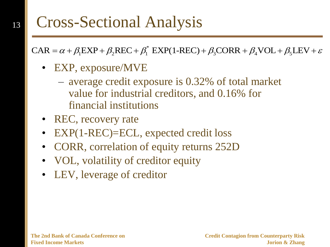### Cross-Sectional Analysis

\* Cross-Sectional Analysis<br>
CAR =  $\alpha + \beta_1 EXP + \beta_2 REC + \beta_1^* EXP(1-REC) + \beta_3 CORR + \beta_4 VOL + \beta_5 LEV + \varepsilon$ 

• EXP, exposure/MVE

- average credit exposure is 0.32% of total market value for industrial creditors, and 0.16% for financial institutions
- REC, recovery rate
- EXP(1-REC)=ECL, expected credit loss
- CORR, correlation of equity returns 252D
- VOL, volatility of creditor equity
- LEV, leverage of creditor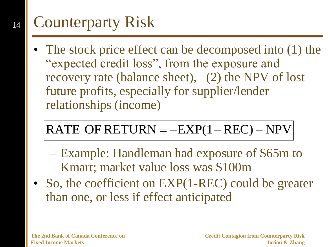#### 14 Counterparty Risk

The stock price effect can be decomposed into (1) the "expected credit loss", from the exposure and recovery rate (balance sheet), (2) the NPV of lost future profits, especially for supplier/lender relationships (income)

### RATE OF RETURN  $=$   $-$ EXP(1  $-$  REC)  $-$  NPV

- Example: Handleman had exposure of \$65m to Kmart; market value loss was \$100m
- So, the coefficient on EXP(1-REC) could be greater than one, or less if effect anticipated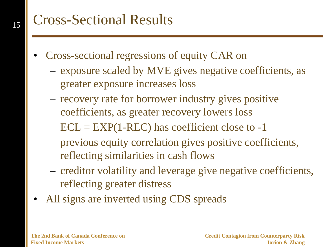### Cross-Sectional Results

- Cross-sectional regressions of equity CAR on
	- exposure scaled by MVE gives negative coefficients, as greater exposure increases loss
	- recovery rate for borrower industry gives positive coefficients, as greater recovery lowers loss
	- $-$  ECL = EXP(1-REC) has coefficient close to -1
	- previous equity correlation gives positive coefficients, reflecting similarities in cash flows
	- creditor volatility and leverage give negative coefficients, reflecting greater distress
- All signs are inverted using CDS spreads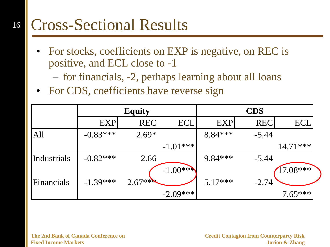#### 16 Cross-Sectional Results

• For stocks, coefficients on EXP is negative, on REC is positive, and ECL close to -1

– for financials, -2, perhaps learning about all loans

• For CDS, coefficients have reverse sign

|             | <b>Equity</b> |            |             | <b>CDS</b> |            |            |
|-------------|---------------|------------|-------------|------------|------------|------------|
|             | <b>EXP</b>    | <b>REC</b> | ECI         | <b>EXP</b> | <b>REC</b> | <b>ECL</b> |
| All         | $-0.83***$    | $2.69*$    |             | 8.84 ***   | $-5.44$    |            |
|             |               |            | $-1.01***$  |            |            | $14.71***$ |
| Industrials | $-0.82***$    | 2.66       |             | $9.84***$  | $-5.44$    |            |
|             |               |            | $-1.00$ *** |            |            | $17.08***$ |
| Financials  | $-1.39***$    | $2.67***$  |             | $5.17***$  | $-2.74$    |            |
|             |               |            | $-2.09***$  |            |            | $7.65***$  |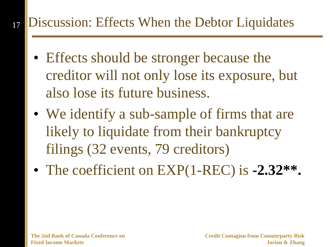#### 17 Discussion: Effects When the Debtor Liquidates

- Effects should be stronger because the creditor will not only lose its exposure, but also lose its future business.
- We identify a sub-sample of firms that are likely to liquidate from their bankruptcy filings (32 events, 79 creditors)
- The coefficient on EXP(1-REC) is **-2.32\*\*.**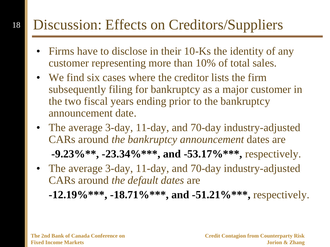#### 18 Discussion: Effects on Creditors/Suppliers

- Firms have to disclose in their 10-Ks the identity of any customer representing more than 10% of total sales.
- We find six cases where the creditor lists the firm subsequently filing for bankruptcy as a major customer in the two fiscal years ending prior to the bankruptcy announcement date.
- The average 3-day, 11-day, and 70-day industry-adjusted CARs around *the bankruptcy announcement* dates are **-9.23%\*\*, -23.34%\*\*\*, and -53.17%\*\*\*,** respectively.
- The average 3-day, 11-day, and 70-day industry-adjusted CARs around *the default dates* are
	- **-12.19%\*\*\*, -18.71%\*\*\*, and -51.21%\*\*\*,** respectively.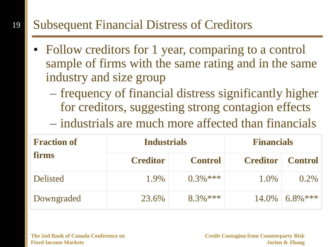### Subsequent Financial Distress of Creditors

- Follow creditors for 1 year, comparing to a control sample of firms with the same rating and in the same industry and size group
	- frequency of financial distress significantly higher for creditors, suggesting strong contagion effects
	- industrials are much more affected than financials

| <b>Fraction of</b> | <b>Industrials</b> |                | <b>Financials</b> |                |  |
|--------------------|--------------------|----------------|-------------------|----------------|--|
| <b>firms</b>       | <b>Creditor</b>    | <b>Control</b> | <b>Creditor</b>   | <b>Control</b> |  |
| <b>Delisted</b>    | 1.9%               | $0.3\%$ ***    | 1.0%              | $0.2\%$        |  |
| Downgraded         | 23.6%              | $8.3\%$ ***    | 14.0%             | $6.8\%***$     |  |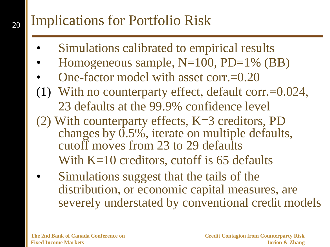### Implications for Portfolio Risk

- Simulations calibrated to empirical results
- Homogeneous sample, N=100, PD=1% (BB)
- One-factor model with asset corr.=0.20
- (1) With no counterparty effect, default corr.=0.024, 23 defaults at the 99.9% confidence level
- (2) With counterparty effects, K=3 creditors, PD changes by 0.5%, iterate on multiple defaults, cutoff moves from 23 to 29 defaults With K=10 creditors, cutoff is 65 defaults
- Simulations suggest that the tails of the distribution, or economic capital measures, are severely understated by conventional credit models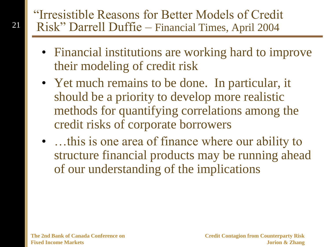### "Irresistible Reasons for Better Models of Credit Risk" Darrell Duffie – Financial Times, April 2004

- Financial institutions are working hard to improve their modeling of credit risk
- Yet much remains to be done. In particular, it should be a priority to develop more realistic methods for quantifying correlations among the credit risks of corporate borrowers
- ... this is one area of finance where our ability to structure financial products may be running ahead of our understanding of the implications